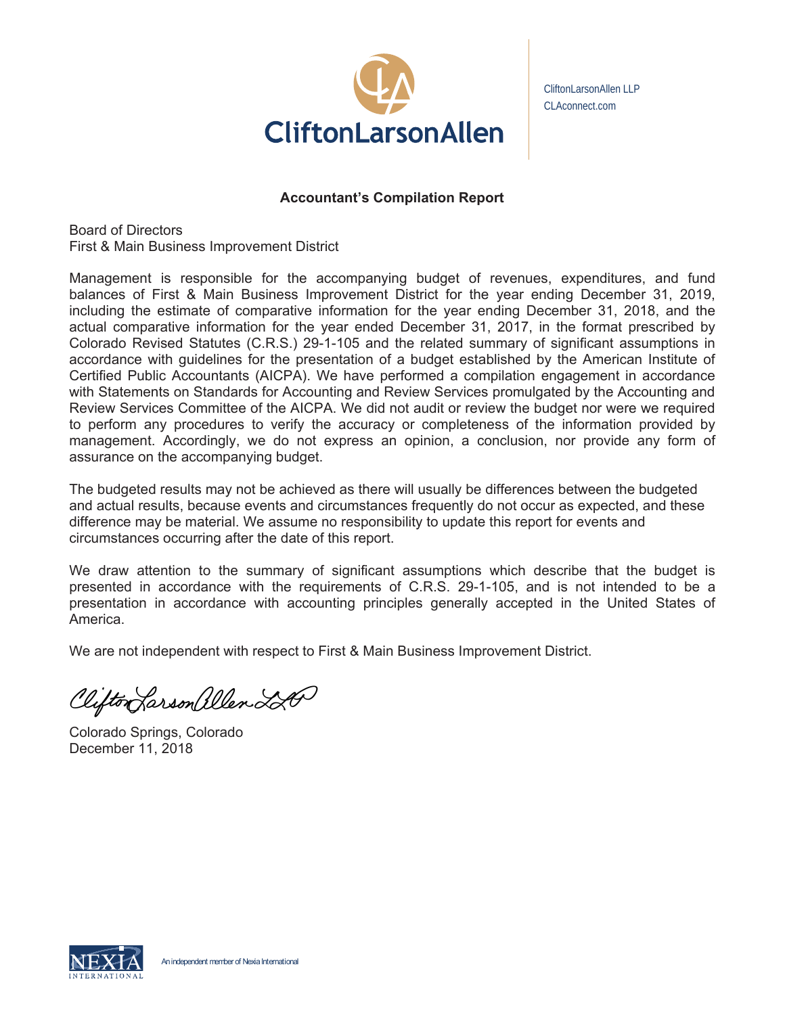

CliftonLarsonAllen LLP CLAconnect.com

# **Accountant's Compilation Report**

**Board of Directors** First & Main Business Improvement District

Management is responsible for the accompanying budget of revenues, expenditures, and fund balances of First & Main Business Improvement District for the year ending December 31, 2019, including the estimate of comparative information for the year ending December 31, 2018, and the actual comparative information for the year ended December 31, 2017, in the format prescribed by Colorado Revised Statutes (C.R.S.) 29-1-105 and the related summary of significant assumptions in accordance with guidelines for the presentation of a budget established by the American Institute of Certified Public Accountants (AICPA). We have performed a compilation engagement in accordance with Statements on Standards for Accounting and Review Services promulgated by the Accounting and Review Services Committee of the AICPA. We did not audit or review the budget nor were we required to perform any procedures to verify the accuracy or completeness of the information provided by management. Accordingly, we do not express an opinion, a conclusion, nor provide any form of assurance on the accompanying budget.

The budgeted results may not be achieved as there will usually be differences between the budgeted and actual results, because events and circumstances frequently do not occur as expected, and these difference may be material. We assume no responsibility to update this report for events and circumstances occurring after the date of this report.

We draw attention to the summary of significant assumptions which describe that the budget is presented in accordance with the requirements of C.R.S. 29-1-105, and is not intended to be a presentation in accordance with accounting principles generally accepted in the United States of America.

We are not independent with respect to First & Main Business Improvement District.

Clifton Larson allen LA

Colorado Springs, Colorado December 11, 2018

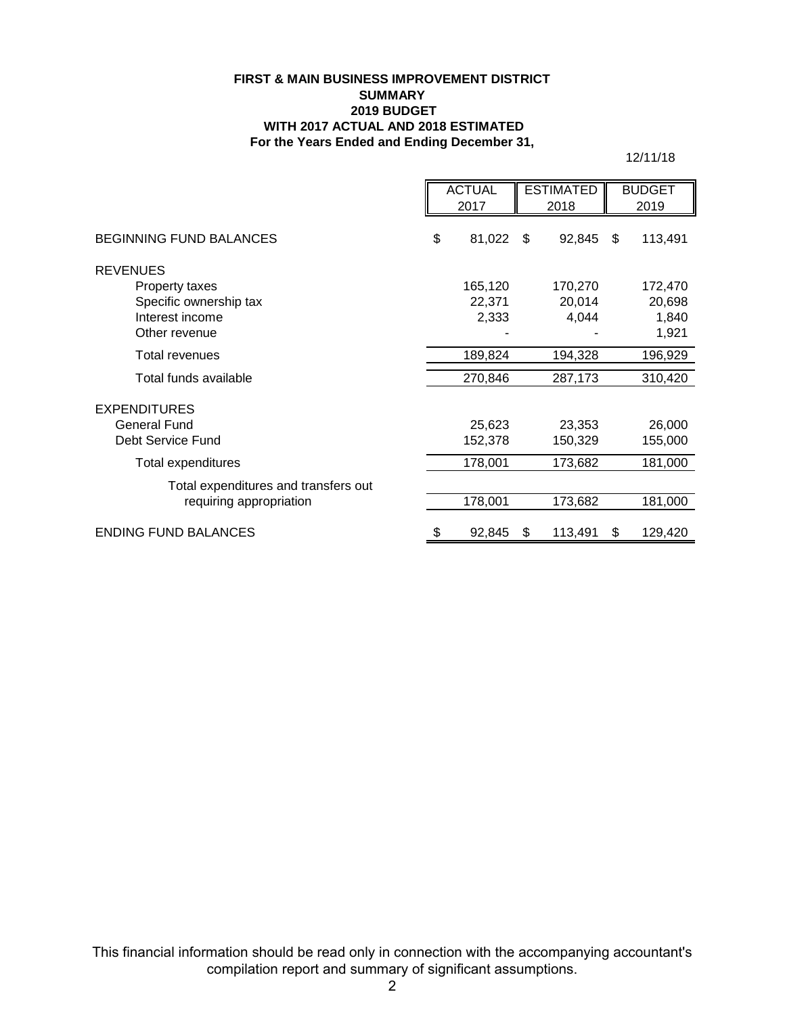#### **FIRST & MAIN BUSINESS IMPROVEMENT DISTRICT SUMMARY 2019 BUDGET WITH 2017 ACTUAL AND 2018 ESTIMATED For the Years Ended and Ending December 31,**

12/11/18

|                                      | <b>ACTUAL</b> |         | <b>ESTIMATED</b> |         | <b>BUDGET</b> |         |
|--------------------------------------|---------------|---------|------------------|---------|---------------|---------|
|                                      |               | 2017    |                  | 2018    |               | 2019    |
| <b>BEGINNING FUND BALANCES</b>       | \$            | 81,022  | \$               | 92,845  | \$            | 113,491 |
| <b>REVENUES</b>                      |               |         |                  |         |               |         |
| Property taxes                       |               | 165,120 |                  | 170,270 |               | 172,470 |
| Specific ownership tax               |               | 22,371  |                  | 20,014  |               | 20,698  |
| Interest income                      |               | 2,333   |                  | 4,044   |               | 1,840   |
| Other revenue                        |               |         |                  |         |               | 1,921   |
| <b>Total revenues</b>                |               | 189,824 |                  | 194,328 |               | 196,929 |
| Total funds available                |               | 270,846 |                  | 287,173 |               | 310,420 |
| <b>EXPENDITURES</b>                  |               |         |                  |         |               |         |
| General Fund                         |               | 25,623  |                  | 23,353  |               | 26,000  |
| Debt Service Fund                    |               | 152,378 |                  | 150,329 |               | 155,000 |
| Total expenditures                   |               | 178,001 |                  | 173,682 |               | 181,000 |
| Total expenditures and transfers out |               |         |                  |         |               |         |
| requiring appropriation              |               | 178,001 |                  | 173,682 |               | 181,000 |
| <b>ENDING FUND BALANCES</b>          | \$            | 92,845  | S                | 113,491 | S             | 129,420 |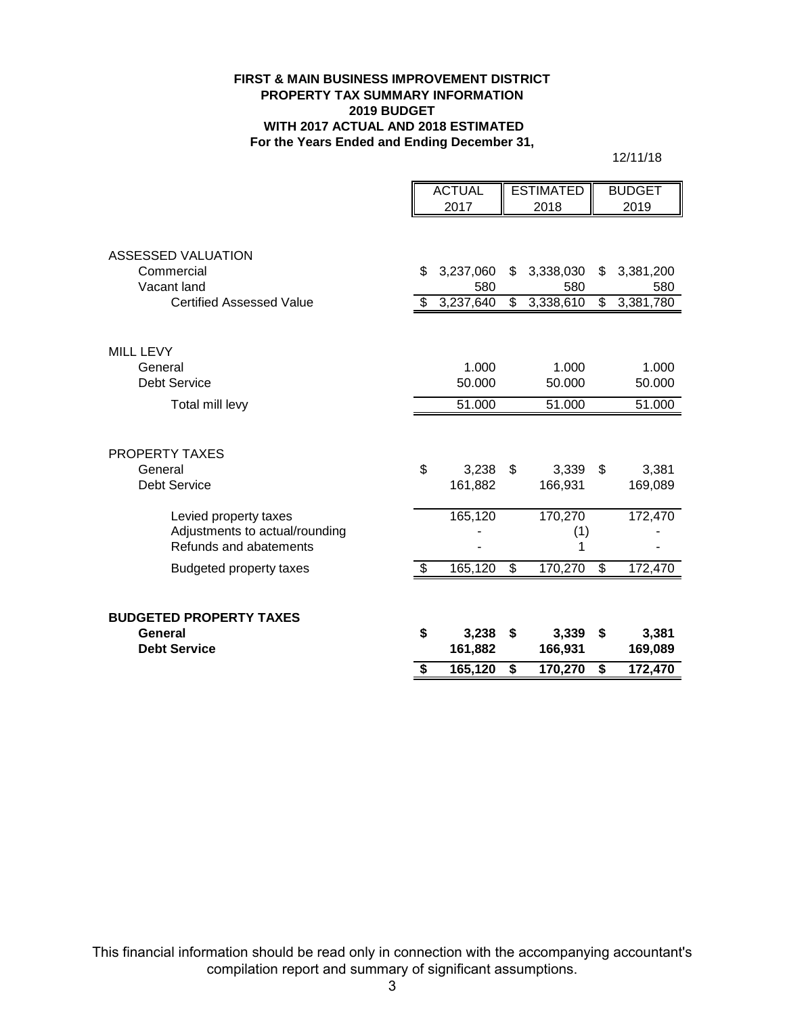#### **FIRST & MAIN BUSINESS IMPROVEMENT DISTRICT PROPERTY TAX SUMMARY INFORMATION 2019 BUDGET WITH 2017 ACTUAL AND 2018 ESTIMATED For the Years Ended and Ending December 31,**

12/11/18

|                                  | <b>ACTUAL</b>   | <b>ESTIMATED</b> |    | <b>BUDGET</b> |
|----------------------------------|-----------------|------------------|----|---------------|
|                                  | 2017            | 2018             |    | 2019          |
|                                  |                 |                  |    |               |
| ASSESSED VALUATION<br>Commercial | \$<br>3,237,060 | \$<br>3,338,030  | \$ | 3,381,200     |
| Vacant land                      | 580             | 580              |    | 580           |
| <b>Certified Assessed Value</b>  | \$<br>3,237,640 | \$<br>3,338,610  | \$ | 3,381,780     |
|                                  |                 |                  |    |               |
| <b>MILL LEVY</b>                 |                 |                  |    |               |
| General                          | 1.000           | 1.000            |    | 1.000         |
| <b>Debt Service</b>              | 50.000          | 50.000           |    | 50.000        |
| Total mill levy                  | 51.000          | 51.000           |    | 51.000        |
| <b>PROPERTY TAXES</b>            |                 |                  |    |               |
| General                          | \$<br>3,238     | \$<br>3,339      | \$ | 3,381         |
| <b>Debt Service</b>              | 161,882         | 166,931          |    | 169,089       |
| Levied property taxes            | 165,120         | 170,270          |    | 172,470       |
| Adjustments to actual/rounding   |                 | (1)              |    |               |
| Refunds and abatements           |                 | 1                |    |               |
| <b>Budgeted property taxes</b>   | \$<br>165,120   | \$<br>170,270    | \$ | 172,470       |
| <b>BUDGETED PROPERTY TAXES</b>   |                 |                  |    |               |
| General                          | \$<br>3,238     | \$<br>3,339      | S  | 3,381         |
| <b>Debt Service</b>              | 161,882         | 166,931          |    | 169,089       |
|                                  | \$<br>165,120   | \$<br>170,270    | \$ | 172,470       |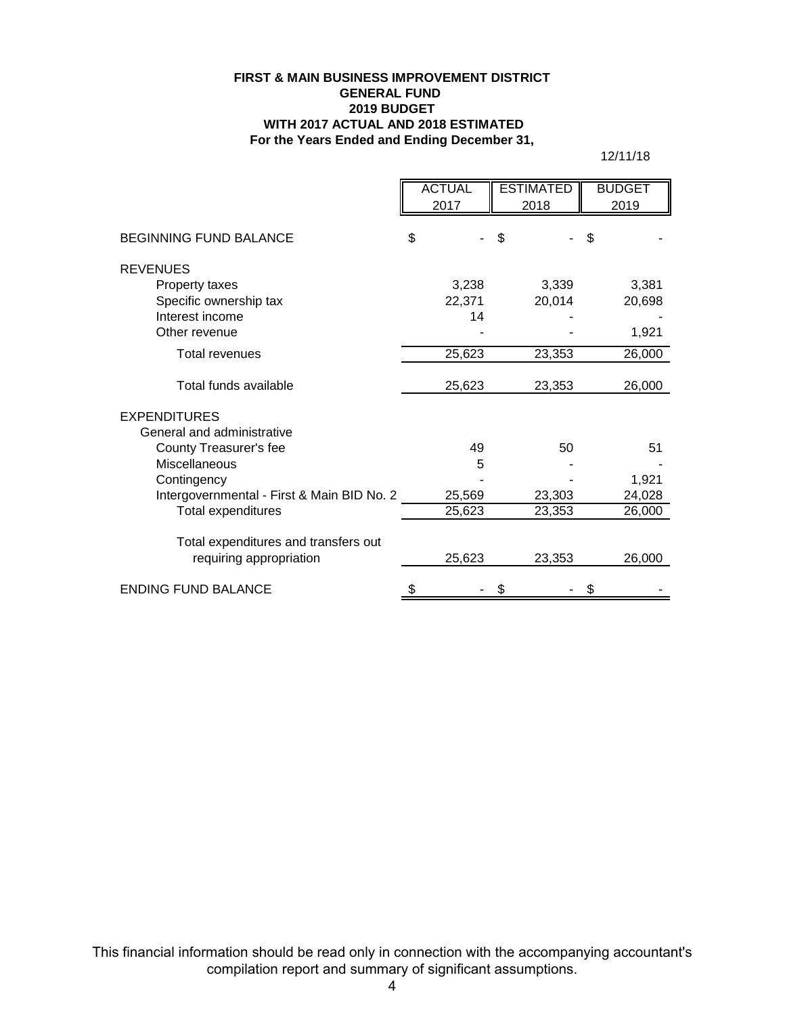#### **For the Years Ended and Ending December 31, FIRST & MAIN BUSINESS IMPROVEMENT DISTRICT GENERAL FUND 2019 BUDGET WITH 2017 ACTUAL AND 2018 ESTIMATED**

12/11/18

|                                            | <b>ACTUAL</b><br>2017 |    | <b>ESTIMATED</b><br>2018 |    | <b>BUDGET</b><br>2019 |
|--------------------------------------------|-----------------------|----|--------------------------|----|-----------------------|
| <b>BEGINNING FUND BALANCE</b>              | \$                    | \$ |                          | \$ |                       |
| <b>REVENUES</b>                            |                       |    |                          |    |                       |
| Property taxes                             | 3.238                 |    | 3.339                    |    | 3.381                 |
| Specific ownership tax                     | 22,371                |    | 20,014                   |    | 20,698                |
| Interest income                            | 14                    |    |                          |    |                       |
| Other revenue                              |                       |    |                          |    | 1,921                 |
| <b>Total revenues</b>                      | 25,623                |    | 23,353                   |    | 26,000                |
| Total funds available                      | 25,623                |    | 23,353                   |    | 26,000                |
| <b>EXPENDITURES</b>                        |                       |    |                          |    |                       |
| General and administrative                 |                       |    |                          |    |                       |
| County Treasurer's fee                     | 49                    |    | 50                       |    | 51                    |
| <b>Miscellaneous</b>                       | 5                     |    |                          |    |                       |
| Contingency                                |                       |    |                          |    | 1,921                 |
| Intergovernmental - First & Main BID No. 2 | 25,569                |    | 23,303                   |    | 24,028                |
| Total expenditures                         | 25,623                |    | 23,353                   |    | 26,000                |
| Total expenditures and transfers out       |                       |    |                          |    |                       |
| requiring appropriation                    | 25,623                |    | 23,353                   |    | 26,000                |
| <b>ENDING FUND BALANCE</b>                 | \$                    |    |                          | \$ |                       |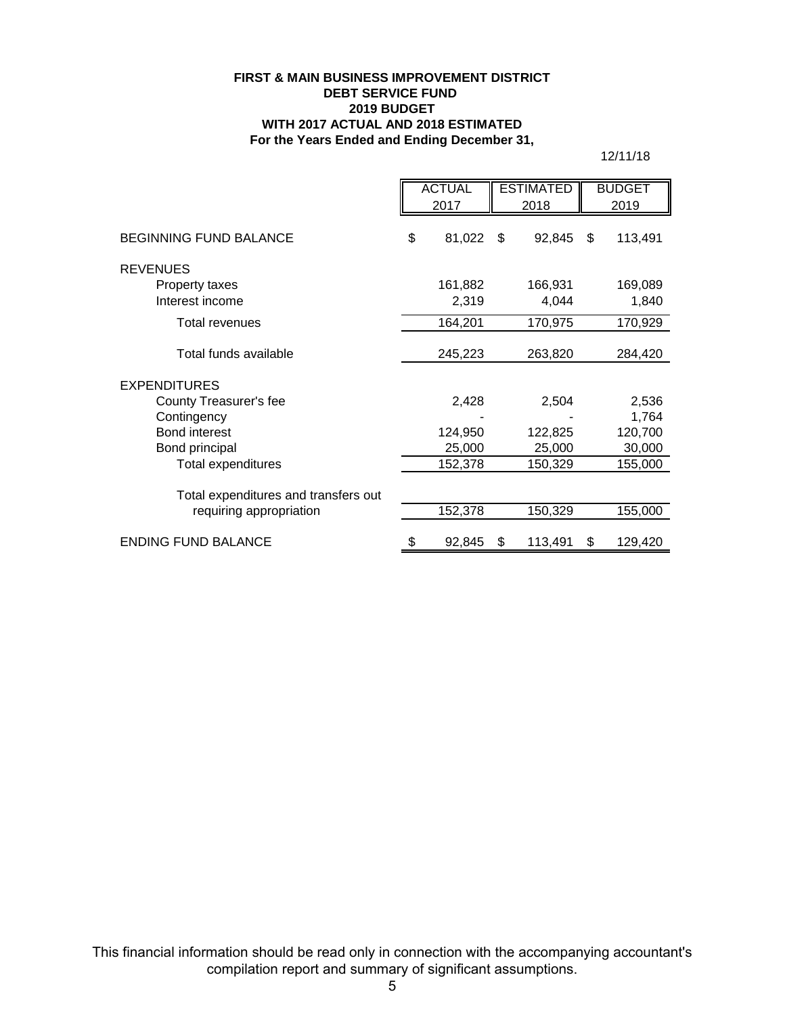#### **FIRST & MAIN BUSINESS IMPROVEMENT DISTRICT DEBT SERVICE FUND 2019 BUDGET WITH 2017 ACTUAL AND 2018 ESTIMATED For the Years Ended and Ending December 31,**

12/11/18

|                                       | <b>ACTUAL</b><br>2017 |                  | <b>ESTIMATED</b><br>2018 |                  | <b>BUDGET</b><br>2019 |
|---------------------------------------|-----------------------|------------------|--------------------------|------------------|-----------------------|
| <b>BEGINNING FUND BALANCE</b>         | \$                    | 81,022           | \$                       | 92,845           | \$<br>113,491         |
| <b>REVENUES</b>                       |                       |                  |                          |                  |                       |
| Property taxes<br>Interest income     |                       | 161,882<br>2,319 |                          | 166,931<br>4,044 | 169,089<br>1,840      |
| Total revenues                        |                       | 164,201          |                          | 170,975          | 170,929               |
| Total funds available                 |                       | 245,223          |                          | 263,820          | 284,420               |
| <b>EXPENDITURES</b>                   |                       |                  |                          |                  |                       |
| County Treasurer's fee<br>Contingency |                       | 2,428            |                          | 2,504            | 2,536<br>1,764        |
| <b>Bond interest</b>                  |                       | 124,950          |                          | 122,825          | 120,700               |
| Bond principal                        |                       | 25,000           |                          | 25,000           | 30,000                |
| Total expenditures                    |                       | 152,378          |                          | 150,329          | 155,000               |
| Total expenditures and transfers out  |                       |                  |                          |                  |                       |
| requiring appropriation               |                       | 152,378          |                          | 150,329          | 155,000               |
| <b>ENDING FUND BALANCE</b>            | S                     | 92,845           | \$                       | 113,491          | \$<br>129,420         |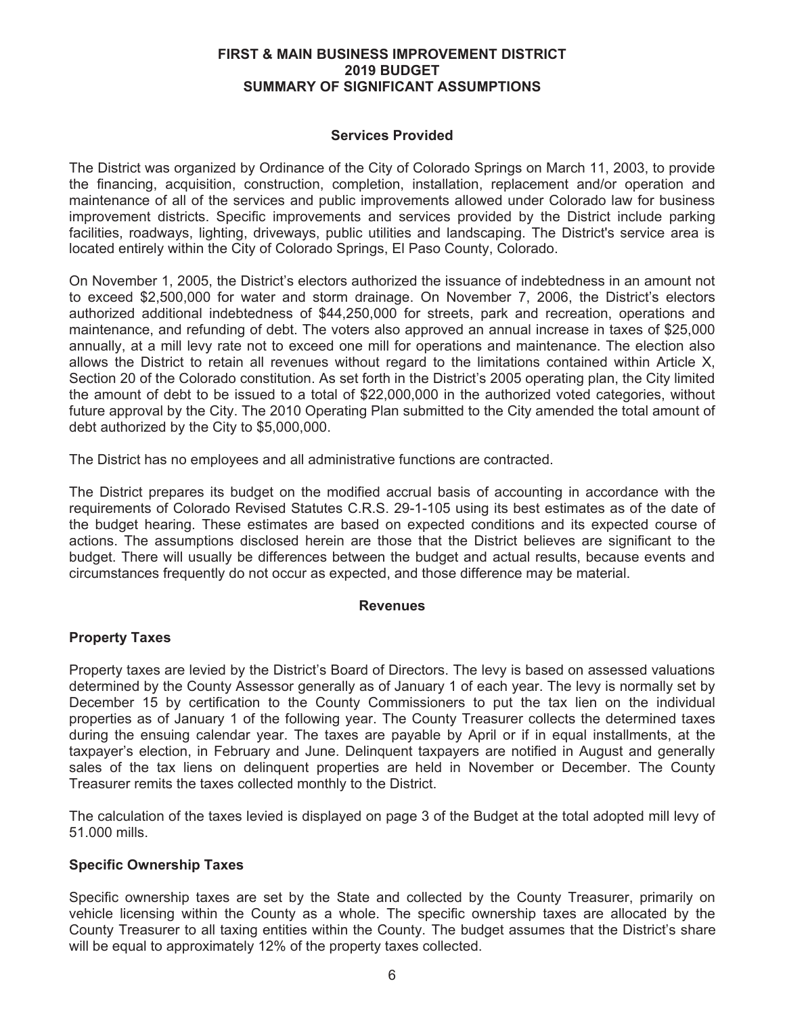#### **FIRST & MAIN BUSINESS IMPROVEMENT DISTRICT** 2019 BUDGET **SUMMARY OF SIGNIFICANT ASSUMPTIONS**

## **Services Provided**

The District was organized by Ordinance of the City of Colorado Springs on March 11, 2003, to provide the financing, acquisition, construction, completion, installation, replacement and/or operation and maintenance of all of the services and public improvements allowed under Colorado law for business improvement districts. Specific improvements and services provided by the District include parking facilities, roadways, lighting, driveways, public utilities and landscaping. The District's service area is located entirely within the City of Colorado Springs, El Paso County, Colorado.

On November 1, 2005, the District's electors authorized the issuance of indebtedness in an amount not to exceed \$2,500,000 for water and storm drainage. On November 7, 2006, the District's electors authorized additional indebtedness of \$44,250,000 for streets, park and recreation, operations and maintenance, and refunding of debt. The voters also approved an annual increase in taxes of \$25,000 annually, at a mill levy rate not to exceed one mill for operations and maintenance. The election also allows the District to retain all revenues without regard to the limitations contained within Article X, Section 20 of the Colorado constitution. As set forth in the District's 2005 operating plan, the City limited the amount of debt to be issued to a total of \$22,000,000 in the authorized voted categories, without future approval by the City. The 2010 Operating Plan submitted to the City amended the total amount of debt authorized by the City to \$5,000,000.

The District has no employees and all administrative functions are contracted.

The District prepares its budget on the modified accrual basis of accounting in accordance with the requirements of Colorado Revised Statutes C.R.S. 29-1-105 using its best estimates as of the date of the budget hearing. These estimates are based on expected conditions and its expected course of actions. The assumptions disclosed herein are those that the District believes are significant to the budget. There will usually be differences between the budget and actual results, because events and circumstances frequently do not occur as expected, and those difference may be material.

#### **Revenues**

# **Property Taxes**

Property taxes are levied by the District's Board of Directors. The levy is based on assessed valuations determined by the County Assessor generally as of January 1 of each year. The levy is normally set by December 15 by certification to the County Commissioners to put the tax lien on the individual properties as of January 1 of the following year. The County Treasurer collects the determined taxes during the ensuing calendar year. The taxes are payable by April or if in equal installments, at the taxpayer's election, in February and June. Delinguent taxpayers are notified in August and generally sales of the tax liens on delinguent properties are held in November or December. The County Treasurer remits the taxes collected monthly to the District.

The calculation of the taxes levied is displayed on page 3 of the Budget at the total adopted mill levy of 51.000 mills.

#### **Specific Ownership Taxes**

Specific ownership taxes are set by the State and collected by the County Treasurer, primarily on vehicle licensing within the County as a whole. The specific ownership taxes are allocated by the County Treasurer to all taxing entities within the County. The budget assumes that the District's share will be equal to approximately 12% of the property taxes collected.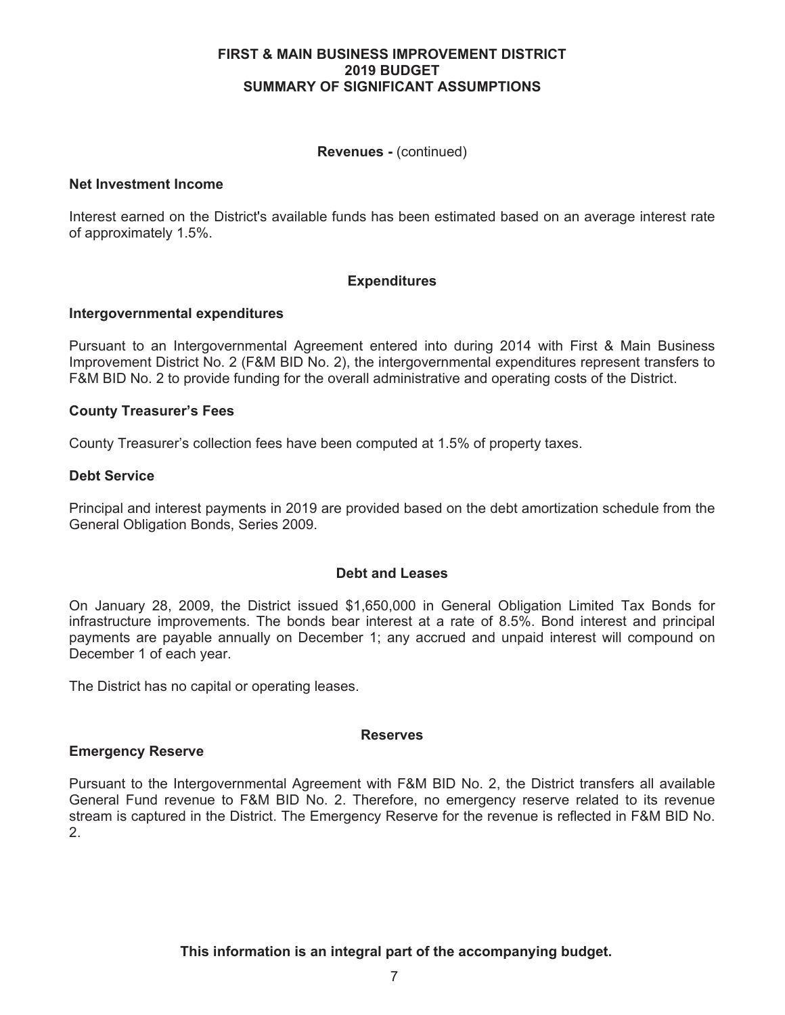#### **FIRST & MAIN BUSINESS IMPROVEMENT DISTRICT** 2019 BUDGET **SUMMARY OF SIGNIFICANT ASSUMPTIONS**

## **Revenues - (continued)**

## **Net Investment Income**

Interest earned on the District's available funds has been estimated based on an average interest rate of approximately 1.5%.

## **Expenditures**

#### Intergovernmental expenditures

Pursuant to an Intergovernmental Agreement entered into during 2014 with First & Main Business Improvement District No. 2 (F&M BID No. 2), the intergovernmental expenditures represent transfers to F&M BID No. 2 to provide funding for the overall administrative and operating costs of the District.

## **County Treasurer's Fees**

County Treasurer's collection fees have been computed at 1.5% of property taxes.

## **Debt Service**

Principal and interest payments in 2019 are provided based on the debt amortization schedule from the General Obligation Bonds, Series 2009.

#### **Debt and Leases**

On January 28, 2009, the District issued \$1,650,000 in General Obligation Limited Tax Bonds for infrastructure improvements. The bonds bear interest at a rate of 8.5%. Bond interest and principal payments are payable annually on December 1; any accrued and unpaid interest will compound on December 1 of each year.

The District has no capital or operating leases.

#### **Reserves**

# **Emergency Reserve**

Pursuant to the Intergovernmental Agreement with F&M BID No. 2, the District transfers all available General Fund revenue to F&M BID No. 2. Therefore, no emergency reserve related to its revenue stream is captured in the District. The Emergency Reserve for the revenue is reflected in F&M BID No.  $2<sub>1</sub>$ 

This information is an integral part of the accompanying budget.